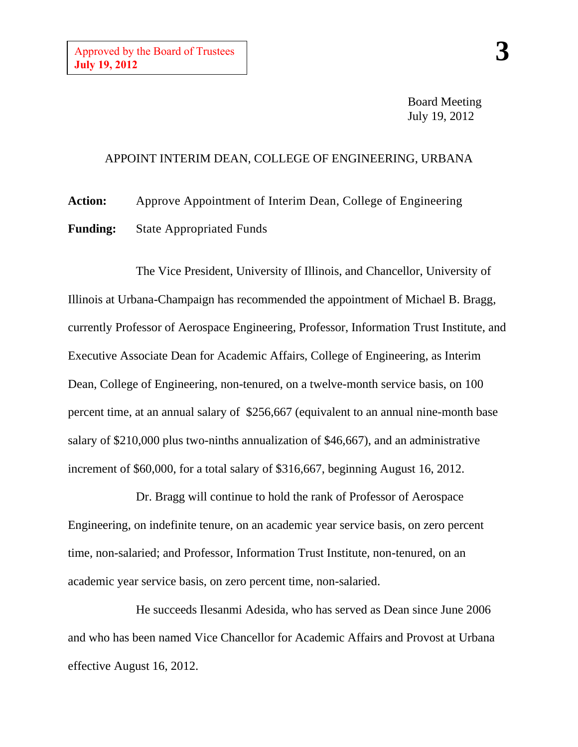Board Meeting July 19, 2012

## APPOINT INTERIM DEAN, COLLEGE OF ENGINEERING, URBANA

**Action:** Approve Appointment of Interim Dean, College of Engineering **Funding:** State Appropriated Funds

The Vice President, University of Illinois, and Chancellor, University of Illinois at Urbana-Champaign has recommended the appointment of Michael B. Bragg, currently Professor of Aerospace Engineering, Professor, Information Trust Institute, and Executive Associate Dean for Academic Affairs, College of Engineering, as Interim Dean, College of Engineering, non-tenured, on a twelve-month service basis, on 100 percent time, at an annual salary of \$256,667 (equivalent to an annual nine-month base salary of \$210,000 plus two-ninths annualization of \$46,667), and an administrative increment of \$60,000, for a total salary of \$316,667, beginning August 16, 2012.

Dr. Bragg will continue to hold the rank of Professor of Aerospace Engineering, on indefinite tenure, on an academic year service basis, on zero percent time, non-salaried; and Professor, Information Trust Institute, non-tenured, on an academic year service basis, on zero percent time, non-salaried.

He succeeds Ilesanmi Adesida, who has served as Dean since June 2006 and who has been named Vice Chancellor for Academic Affairs and Provost at Urbana effective August 16, 2012.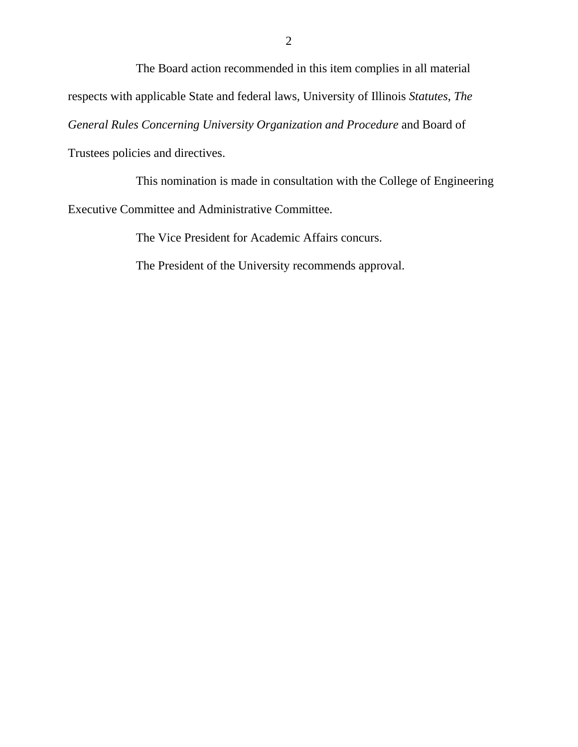The Board action recommended in this item complies in all material respects with applicable State and federal laws, University of Illinois *Statutes*, *The General Rules Concerning University Organization and Procedure* and Board of Trustees policies and directives.

This nomination is made in consultation with the College of Engineering Executive Committee and Administrative Committee.

The Vice President for Academic Affairs concurs.

The President of the University recommends approval.